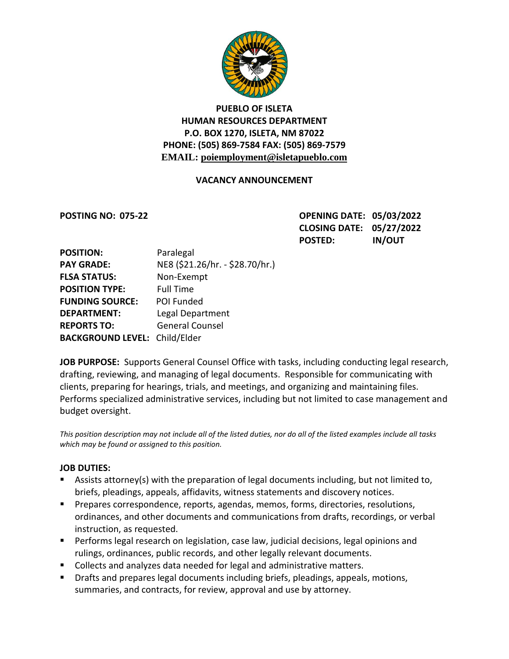

# **PUEBLO OF ISLETA HUMAN RESOURCES DEPARTMENT P.O. BOX 1270, ISLETA, NM 87022 PHONE: (505) 869-7584 FAX: (505) 869-7579 EMAIL: poiemployment@isletapueblo.com**

### **VACANCY ANNOUNCEMENT**

**POSTING NO: 075-22 OPENING DATE: 05/03/2022 CLOSING DATE: 05/27/2022 POSTED: IN/OUT**

| <b>POSITION:</b>                     | Paralegal                       |
|--------------------------------------|---------------------------------|
| <b>PAY GRADE:</b>                    | NE8 (\$21.26/hr. - \$28.70/hr.) |
| <b>FLSA STATUS:</b>                  | Non-Exempt                      |
| <b>POSITION TYPE:</b>                | <b>Full Time</b>                |
| <b>FUNDING SOURCE:</b>               | POI Funded                      |
| <b>DEPARTMENT:</b>                   | Legal Department                |
| <b>REPORTS TO:</b>                   | <b>General Counsel</b>          |
| <b>BACKGROUND LEVEL: Child/Elder</b> |                                 |

**JOB PURPOSE:** Supports General Counsel Office with tasks, including conducting legal research, drafting, reviewing, and managing of legal documents. Responsible for communicating with clients, preparing for hearings, trials, and meetings, and organizing and maintaining files. Performs specialized administrative services, including but not limited to case management and budget oversight.

*This position description may not include all of the listed duties, nor do all of the listed examples include all tasks which may be found or assigned to this position.*

### **JOB DUTIES:**

- Assists attorney(s) with the preparation of legal documents including, but not limited to, briefs, pleadings, appeals, affidavits, witness statements and discovery notices.
- Prepares correspondence, reports, agendas, memos, forms, directories, resolutions, ordinances, and other documents and communications from drafts, recordings, or verbal instruction, as requested.
- **Performs legal research on legislation, case law, judicial decisions, legal opinions and** rulings, ordinances, public records, and other legally relevant documents.
- Collects and analyzes data needed for legal and administrative matters.
- Drafts and prepares legal documents including briefs, pleadings, appeals, motions, summaries, and contracts, for review, approval and use by attorney.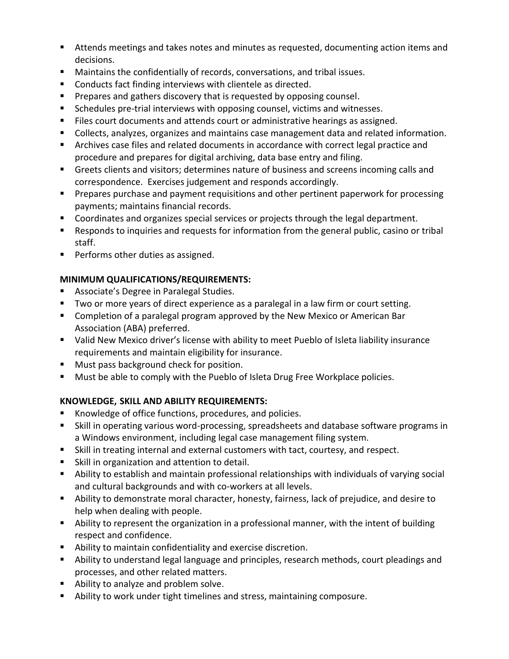- Attends meetings and takes notes and minutes as requested, documenting action items and decisions.
- Maintains the confidentially of records, conversations, and tribal issues.
- Conducts fact finding interviews with clientele as directed.
- **Prepares and gathers discovery that is requested by opposing counsel.**
- **Schedules pre-trial interviews with opposing counsel, victims and witnesses.**
- **FILES COUT COCUMENTS AND ATTER COUNTY CONTROVER ASSET IS ASSET ASSET IS A LOCULT ATTER**
- Collects, analyzes, organizes and maintains case management data and related information.
- Archives case files and related documents in accordance with correct legal practice and procedure and prepares for digital archiving, data base entry and filing.
- Greets clients and visitors; determines nature of business and screens incoming calls and correspondence. Exercises judgement and responds accordingly.
- **Prepares purchase and payment requisitions and other pertinent paperwork for processing** payments; maintains financial records.
- **Coordinates and organizes special services or projects through the legal department.**
- Responds to inquiries and requests for information from the general public, casino or tribal staff.
- **Performs other duties as assigned.**

# **MINIMUM QUALIFICATIONS/REQUIREMENTS:**

- **Associate's Degree in Paralegal Studies.**
- Two or more years of direct experience as a paralegal in a law firm or court setting.
- **E** Completion of a paralegal program approved by the New Mexico or American Bar Association (ABA) preferred.
- Valid New Mexico driver's license with ability to meet Pueblo of Isleta liability insurance requirements and maintain eligibility for insurance.
- **Must pass background check for position.**
- **Must be able to comply with the Pueblo of Isleta Drug Free Workplace policies.**

## **KNOWLEDGE, SKILL AND ABILITY REQUIREMENTS:**

- Knowledge of office functions, procedures, and policies.
- Skill in operating various word-processing, spreadsheets and database software programs in a Windows environment, including legal case management filing system.
- Skill in treating internal and external customers with tact, courtesy, and respect.
- Skill in organization and attention to detail.
- Ability to establish and maintain professional relationships with individuals of varying social and cultural backgrounds and with co-workers at all levels.
- Ability to demonstrate moral character, honesty, fairness, lack of prejudice, and desire to help when dealing with people.
- Ability to represent the organization in a professional manner, with the intent of building respect and confidence.
- Ability to maintain confidentiality and exercise discretion.
- Ability to understand legal language and principles, research methods, court pleadings and processes, and other related matters.
- Ability to analyze and problem solve.
- Ability to work under tight timelines and stress, maintaining composure.